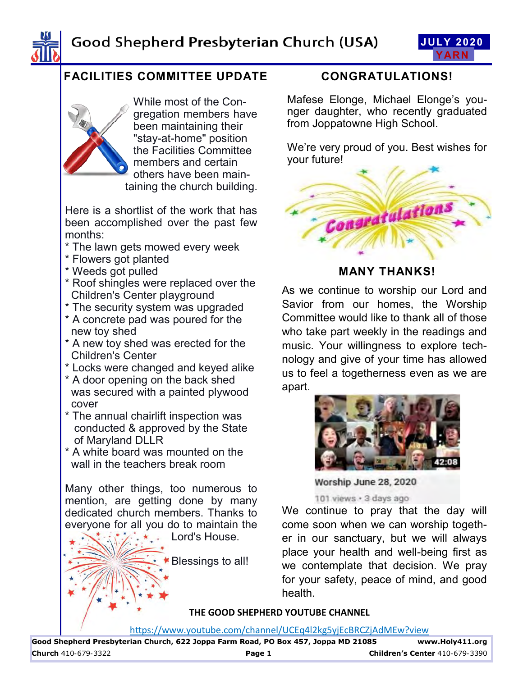





# **FACILITIES COMMITTEE UPDATE**



While most of the Congregation members have been maintaining their "stay-at-home" position the Facilities Committee members and certain others have been maintaining the church building.

Here is a shortlist of the work that has been accomplished over the past few months:

- \* The lawn gets mowed every week
- \* Flowers got planted
- \* Weeds got pulled
- \* Roof shingles were replaced over the Children's Center playground
- \* The security system was upgraded
- \* A concrete pad was poured for the new toy shed
- \* A new toy shed was erected for the Children's Center
- \* Locks were changed and keyed alike
- \* A door opening on the back shed was secured with a painted plywood cover
- \* The annual chairlift inspection was conducted & approved by the State of Maryland DLLR
- \* A white board was mounted on the wall in the teachers break room

Many other things, too numerous to mention, are getting done by many dedicated church members. Thanks to everyone for all you do to maintain the

Lord's House.

Blessings to all!

## **CONGRATULATIONS!**

Mafese Elonge, Michael Elonge's younger daughter, who recently graduated from Joppatowne High School.

We're very proud of you. Best wishes for your future!



## **MANY THANKS!**

As we continue to worship our Lord and Savior from our homes, the Worship Committee would like to thank all of those who take part weekly in the readings and music. Your willingness to explore technology and give of your time has allowed us to feel a togetherness even as we are apart.



Worship June 28, 2020

101 views · 3 days ago

We continue to pray that the day will come soon when we can worship together in our sanctuary, but we will always place your health and well-being first as we contemplate that decision. We pray for your safety, peace of mind, and good health.

#### **THE GOOD SHEPHERD YOUTUBE CHANNEL**

https://www.youtube.com/channel/UCEq4l2kg5yjEcBRCZjAdMEw?view

**Good Shepherd Presbyterian Church, 622 Joppa Farm Road, PO Box 457, Joppa MD 21085 www.Holy411.org Church** 410-679-3322 **Page 1 Children's Center** 410-679-3390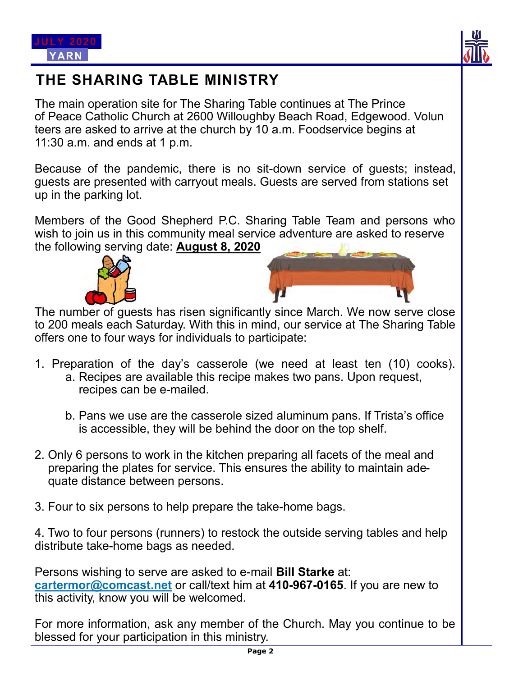



# **THE SHARING TABLE MINISTRY**

The main operation site for The Sharing Table continues at The Prince of Peace Catholic Church at 2600 Willoughby Beach Road, Edgewood. Volun teers are asked to arrive at the church by 10 a.m. Foodservice begins at 11:30 a.m. and ends at 1 p.m.

Because of the pandemic, there is no sit-down service of guests; instead, guests are presented with carryout meals. Guests are served from stations set up in the parking lot.

Members of the Good Shepherd P.C. Sharing Table Team and persons who wish to join us in this community meal service adventure are asked to reserve the following serving date: **August 8, 2020**



The number of guests has risen significantly since March. We now serve close to 200 meals each Saturday. With this in mind, our service at The Sharing Table offers one to four ways for individuals to participate:

- 1. Preparation of the day's casserole (we need at least ten (10) cooks).
	- a. Recipes are available this recipe makes two pans. Upon request, recipes can be e-mailed.
	- b. Pans we use are the casserole sized aluminum pans. If Trista's office is accessible, they will be behind the door on the top shelf.
- 2. Only 6 persons to work in the kitchen preparing all facets of the meal and preparing the plates for service. This ensures the ability to maintain ade quate distance between persons.
- 3. Four to six persons to help prepare the take-home bags.

4. Two to four persons (runners) to restock the outside serving tables and help distribute take-home bags as needed.

Persons wishing to serve are asked to e-mail **Bill Starke** at: **cartermor@comcast.net** or call/text him at **410-967-0165**. If you are new to this activity, know you will be welcomed.

For more information, ask any member of the Church. May you continue to be blessed for your participation in this ministry.